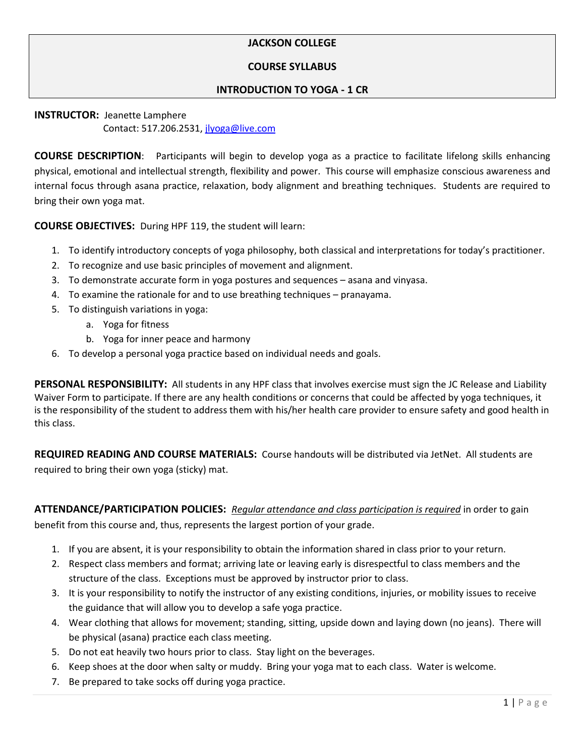# **JACKSON COLLEGE**

#### **COURSE SYLLABUS**

#### **INTRODUCTION TO YOGA - 1 CR**

# **INSTRUCTOR:** Jeanette Lamphere Contact: 517.206.2531[, jlyoga@live.com](mailto:jlyoga@live.com)

**COURSE DESCRIPTION**: Participants will begin to develop yoga as a practice to facilitate lifelong skills enhancing physical, emotional and intellectual strength, flexibility and power. This course will emphasize conscious awareness and internal focus through asana practice, relaxation, body alignment and breathing techniques. Students are required to bring their own yoga mat.

**COURSE OBJECTIVES:** During HPF 119, the student will learn:

- 1. To identify introductory concepts of yoga philosophy, both classical and interpretations for today's practitioner.
- 2. To recognize and use basic principles of movement and alignment.
- 3. To demonstrate accurate form in yoga postures and sequences asana and vinyasa.
- 4. To examine the rationale for and to use breathing techniques pranayama.
- 5. To distinguish variations in yoga:
	- a. Yoga for fitness
	- b. Yoga for inner peace and harmony
- 6. To develop a personal yoga practice based on individual needs and goals.

**PERSONAL RESPONSIBILITY:** All students in any HPF class that involves exercise must sign the JC Release and Liability Waiver Form to participate. If there are any health conditions or concerns that could be affected by yoga techniques, it is the responsibility of the student to address them with his/her health care provider to ensure safety and good health in this class.

**REQUIRED READING AND COURSE MATERIALS:** Course handouts will be distributed via JetNet. All students are required to bring their own yoga (sticky) mat.

**ATTENDANCE/PARTICIPATION POLICIES:** *Regular attendance and class participation is required* in order to gain benefit from this course and, thus, represents the largest portion of your grade.

- 1. If you are absent, it is your responsibility to obtain the information shared in class prior to your return.
- 2. Respect class members and format; arriving late or leaving early is disrespectful to class members and the structure of the class. Exceptions must be approved by instructor prior to class.
- 3. It is your responsibility to notify the instructor of any existing conditions, injuries, or mobility issues to receive the guidance that will allow you to develop a safe yoga practice.
- 4. Wear clothing that allows for movement; standing, sitting, upside down and laying down (no jeans). There will be physical (asana) practice each class meeting.
- 5. Do not eat heavily two hours prior to class. Stay light on the beverages.
- 6. Keep shoes at the door when salty or muddy. Bring your yoga mat to each class. Water is welcome.
- 7. Be prepared to take socks off during yoga practice.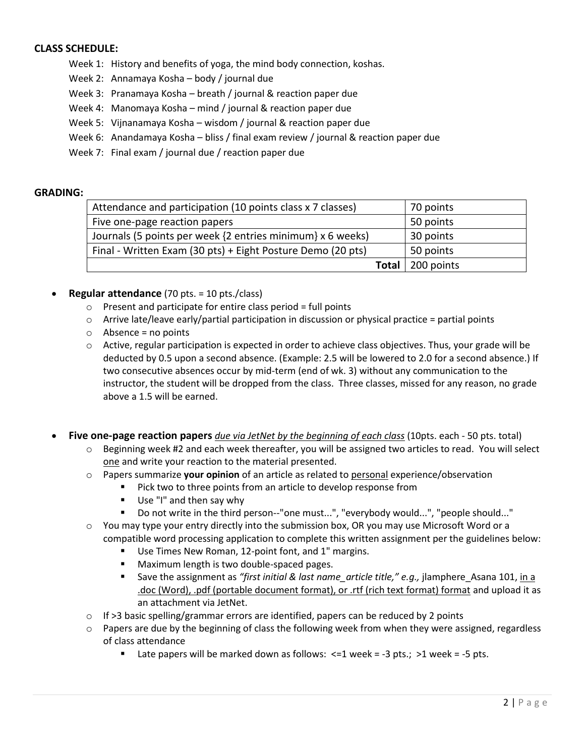### **CLASS SCHEDULE:**

- Week 1: History and benefits of yoga, the mind body connection, koshas.
- Week 2: Annamaya Kosha body / journal due
- Week 3: Pranamaya Kosha breath / journal & reaction paper due
- Week 4: Manomaya Kosha mind / journal & reaction paper due
- Week 5: Vijnanamaya Kosha wisdom / journal & reaction paper due
- Week 6: Anandamaya Kosha bliss / final exam review / journal & reaction paper due
- Week 7: Final exam / journal due / reaction paper due

#### **GRADING:**

| Attendance and participation (10 points class x 7 classes)  | 70 points  |
|-------------------------------------------------------------|------------|
| Five one-page reaction papers                               | 50 points  |
| Journals (5 points per week {2 entries minimum} x 6 weeks)  | 30 points  |
| Final - Written Exam (30 pts) + Eight Posture Demo (20 pts) | 50 points  |
| Total                                                       | 200 points |

- **Regular attendance** (70 pts. = 10 pts./class)
	- $\circ$  Present and participate for entire class period = full points
	- $\circ$  Arrive late/leave early/partial participation in discussion or physical practice = partial points
	- $\circ$  Absence = no points
	- $\circ$  Active, regular participation is expected in order to achieve class objectives. Thus, your grade will be deducted by 0.5 upon a second absence. (Example: 2.5 will be lowered to 2.0 for a second absence.) If two consecutive absences occur by mid-term (end of wk. 3) without any communication to the instructor, the student will be dropped from the class. Three classes, missed for any reason, no grade above a 1.5 will be earned.

**Five one-page reaction papers** *due via JetNet by the beginning of each class* (10pts. each - 50 pts. total)

- $\circ$  Beginning week #2 and each week thereafter, you will be assigned two articles to read. You will select one and write your reaction to the material presented.
- o Papers summarize **your opinion** of an article as related to personal experience/observation
	- **Pick two to three points from an article to develop response from**
	- Use "I" and then say why
	- Do not write in the third person--"one must...", "everybody would...", "people should..."
- $\circ$  You may type your entry directly into the submission box, OR you may use Microsoft Word or a compatible word processing application to complete this written assignment per the guidelines below:
	- Use Times New Roman, 12-point font, and 1" margins.
	- **Maximum length is two double-spaced pages.**
	- Save the assignment as *"first initial & last name\_article title," e.g.,* jlamphere\_Asana 101, in a .doc (Word), .pdf (portable document format), or .rtf (rich text format) format and upload it as an attachment via JetNet.
- $\circ$  If >3 basic spelling/grammar errors are identified, papers can be reduced by 2 points
- $\circ$  Papers are due by the beginning of class the following week from when they were assigned, regardless of class attendance
	- Late papers will be marked down as follows:  $\leq 1$  week = -3 pts.; >1 week = -5 pts.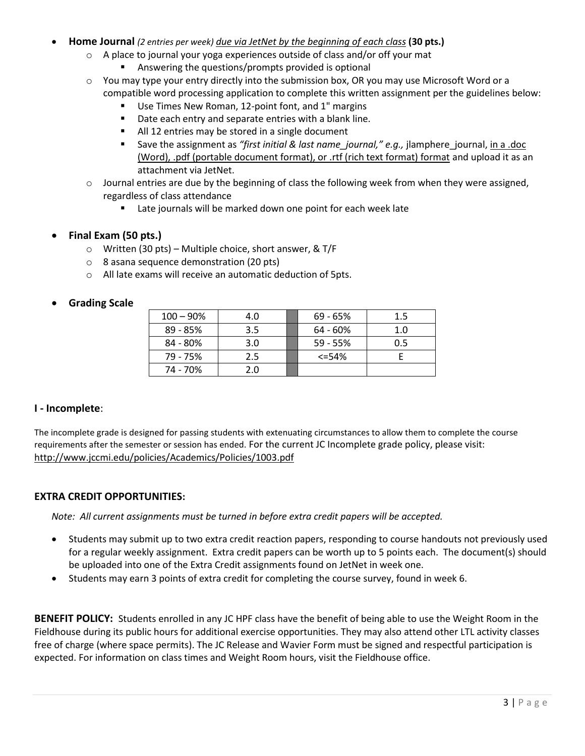- **Home Journal** *(2 entries per week) due via JetNet by the beginning of each class* **(30 pts.)** 
	- $\circ$  A place to journal your yoga experiences outside of class and/or off your mat
		- **Answering the questions/prompts provided is optional**
	- $\circ$  You may type your entry directly into the submission box, OR you may use Microsoft Word or a compatible word processing application to complete this written assignment per the guidelines below:
		- Use Times New Roman, 12-point font, and 1" margins
		- Date each entry and separate entries with a blank line.
		- All 12 entries may be stored in a single document
		- Save the assignment as "*first initial & last name\_journal," e.g.*, jlamphere\_journal, in a .doc (Word), .pdf (portable document format), or .rtf (rich text format) format and upload it as an attachment via JetNet.
	- $\circ$  Journal entries are due by the beginning of class the following week from when they were assigned, regardless of class attendance
		- Late journals will be marked down one point for each week late

## **Final Exam (50 pts.)**

- o Written (30 pts) Multiple choice, short answer, & T/F
- o 8 asana sequence demonstration (20 pts)
- o All late exams will receive an automatic deduction of 5pts.

## **Grading Scale**

| $100 - 90%$ | 4.0 | $69 - 65%$ | 1.5 |
|-------------|-----|------------|-----|
| 89 - 85%    | 3.5 | 64 - 60%   | 1.0 |
| 84 - 80%    | 3.0 | $59 - 55%$ | 0.5 |
| 79 - 75%    | 2.5 | $<=54%$    |     |
| 74 - 70%    | 2.0 |            |     |

## **I - Incomplete**:

The incomplete grade is designed for passing students with extenuating circumstances to allow them to complete the course requirements after the semester or session has ended. For the current JC Incomplete grade policy, please visit: <http://www.jccmi.edu/policies/Academics/Policies/1003.pdf>

#### **EXTRA CREDIT OPPORTUNITIES:**

*Note: All current assignments must be turned in before extra credit papers will be accepted.*

- Students may submit up to two extra credit reaction papers, responding to course handouts not previously used for a regular weekly assignment. Extra credit papers can be worth up to 5 points each. The document(s) should be uploaded into one of the Extra Credit assignments found on JetNet in week one.
- Students may earn 3 points of extra credit for completing the course survey, found in week 6.

**BENEFIT POLICY:** Students enrolled in any JC HPF class have the benefit of being able to use the Weight Room in the Fieldhouse during its public hours for additional exercise opportunities. They may also attend other LTL activity classes free of charge (where space permits). The JC Release and Wavier Form must be signed and respectful participation is expected. For information on class times and Weight Room hours, visit the Fieldhouse office.